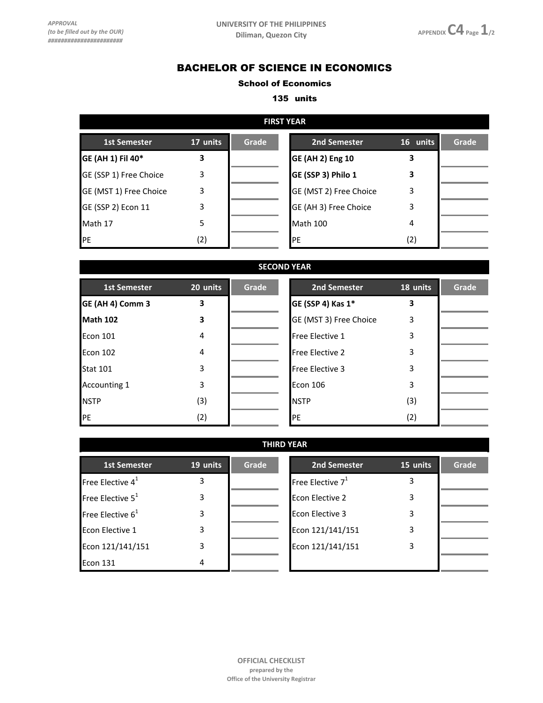## BACHELOR OF SCIENCE IN ECONOMICS

## School of Economics

## 135 units

| <b>FIRST YEAR</b>      |          |       |                         |          |       |  |
|------------------------|----------|-------|-------------------------|----------|-------|--|
| <b>1st Semester</b>    | 17 units | Grade | 2nd Semester            | 16 units | Grade |  |
| GE (AH 1) Fil 40*      | 3        |       | <b>GE (AH 2) Eng 10</b> |          |       |  |
| GE (SSP 1) Free Choice | 3        |       | GE (SSP 3) Philo 1      |          |       |  |
| GE (MST 1) Free Choice | 3        |       | GE (MST 2) Free Choice  | 3        |       |  |
| GE (SSP 2) Econ 11     | 3        |       | GE (AH 3) Free Choice   | 3        |       |  |
| Math 17                | 5        |       | Math 100                | 4        |       |  |
| PE                     | (2)      |       | <b>IPE</b>              | (2)      |       |  |

| <b>SECOND YEAR</b>  |          |       |                        |          |       |  |
|---------------------|----------|-------|------------------------|----------|-------|--|
| <b>1st Semester</b> | 20 units | Grade | 2nd Semester           | 18 units | Grade |  |
| GE (AH 4) Comm 3    | 3        |       | GE (SSP 4) Kas 1*      | 3        |       |  |
| Math 102            | 3        |       | GE (MST 3) Free Choice | 3        |       |  |
| Econ 101            | 4        |       | Free Elective 1        | 3        |       |  |
| Econ 102            | 4        |       | <b>Free Elective 2</b> | 3        |       |  |
| <b>Stat 101</b>     | 3        |       | <b>Free Elective 3</b> | 3        |       |  |
| <b>Accounting 1</b> | 3        |       | <b>Econ 106</b>        | 3        |       |  |
| <b>NSTP</b>         | (3)      |       | <b>NSTP</b>            | (3)      |       |  |
| PE                  | (2)      |       | PE                     | (2)      |       |  |

| <b>THIRD YEAR</b>   |          |       |                     |          |       |
|---------------------|----------|-------|---------------------|----------|-------|
| <b>1st Semester</b> | 19 units | Grade | 2nd Semester        | 15 units | Grade |
| Free Elective $4^1$ | 3        |       | Free Elective $7^1$ | 3        |       |
| Free Elective $5^1$ | 3        |       | Econ Elective 2     | 3        |       |
| Free Elective $6^1$ | 3        |       | Econ Elective 3     | 3        |       |
| Econ Elective 1     | 3        |       | Econ 121/141/151    | 3        |       |
| Econ 121/141/151    | 3        |       | Econ 121/141/151    | 3        |       |
| Econ 131            | 4        |       |                     |          |       |